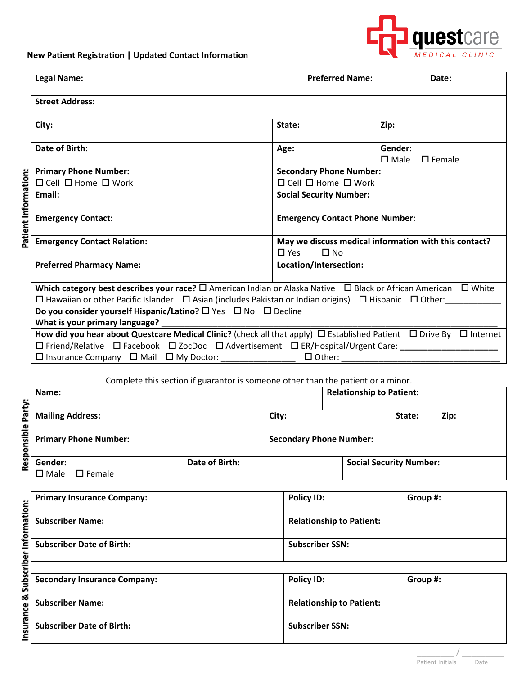

## **New Patient Registration | Updated Contact Information**

|                      | <b>Legal Name:</b>                                                                                                                                                                                                                                                                                                                                                                                |                                | <b>Preferred Name:</b>                                                           |                           | Date:            |  |
|----------------------|---------------------------------------------------------------------------------------------------------------------------------------------------------------------------------------------------------------------------------------------------------------------------------------------------------------------------------------------------------------------------------------------------|--------------------------------|----------------------------------------------------------------------------------|---------------------------|------------------|--|
|                      | <b>Street Address:</b>                                                                                                                                                                                                                                                                                                                                                                            |                                |                                                                                  |                           |                  |  |
|                      | City:                                                                                                                                                                                                                                                                                                                                                                                             | State:                         |                                                                                  | Zip:                      |                  |  |
|                      | Date of Birth:                                                                                                                                                                                                                                                                                                                                                                                    | Age:                           |                                                                                  | Gender:<br>$\square$ Male | $\square$ Female |  |
|                      | <b>Primary Phone Number:</b>                                                                                                                                                                                                                                                                                                                                                                      | <b>Secondary Phone Number:</b> |                                                                                  |                           |                  |  |
| Patient Information: | $\Box$ Cell $\Box$ Home $\Box$ Work                                                                                                                                                                                                                                                                                                                                                               |                                | $\Box$ Cell $\Box$ Home $\Box$ Work                                              |                           |                  |  |
|                      | Email:                                                                                                                                                                                                                                                                                                                                                                                            |                                | <b>Social Security Number:</b>                                                   |                           |                  |  |
|                      | <b>Emergency Contact:</b>                                                                                                                                                                                                                                                                                                                                                                         |                                | <b>Emergency Contact Phone Number:</b>                                           |                           |                  |  |
|                      | <b>Emergency Contact Relation:</b>                                                                                                                                                                                                                                                                                                                                                                |                                | May we discuss medical information with this contact?<br>$\Box$ Yes<br>$\Box$ No |                           |                  |  |
|                      | <b>Preferred Pharmacy Name:</b>                                                                                                                                                                                                                                                                                                                                                                   |                                | Location/Intersection:                                                           |                           |                  |  |
|                      | Which category best describes your race? $\square$ American Indian or Alaska Native $\square$ Black or African American $\square$ White<br>$\Box$ Hawaiian or other Pacific Islander $\Box$ Asian (includes Pakistan or Indian origins) $\Box$ Hispanic $\Box$ Other:<br>Do you consider yourself Hispanic/Latino? $\square$ Yes $\square$ No $\square$ Decline<br>What is your primary language? |                                |                                                                                  |                           |                  |  |
|                      | How did you hear about Questcare Medical Clinic? (check all that apply) $\Box$ Established Patient $\Box$ Drive By $\Box$ Internet<br>□ Friend/Relative □ Facebook □ ZocDoc □ Advertisement □ ER/Hospital/Urgent Care: _________________                                                                                                                                                          |                                |                                                                                  |                           |                  |  |
|                      | $\Box$ Insurance Company $\Box$ Mail $\Box$ My Doctor:                                                                                                                                                                                                                                                                                                                                            |                                | $\Box$ Other:                                                                    |                           |                  |  |

Complete this section if guarantor is someone other than the patient or a minor.

| ë           | Name:                                   |                |                                | <b>Relationship to Patient:</b> |                                |      |
|-------------|-----------------------------------------|----------------|--------------------------------|---------------------------------|--------------------------------|------|
| 훕           | <b>Mailing Address:</b>                 |                | City:                          |                                 | State:                         | Zip: |
| nsible<br>ā | <b>Primary Phone Number:</b>            |                | <b>Secondary Phone Number:</b> |                                 |                                |      |
| Res         | Gender:<br>$\Box$ Female<br>$\Box$ Male | Date of Birth: |                                |                                 | <b>Social Security Number:</b> |      |

|                        | <b>Primary Insurance Company:</b>   | <b>Policy ID:</b>               | Group #: |
|------------------------|-------------------------------------|---------------------------------|----------|
| Information:           | <b>Subscriber Name:</b>             | <b>Relationship to Patient:</b> |          |
|                        | <b>Subscriber Date of Birth:</b>    | <b>Subscriber SSN:</b>          |          |
|                        |                                     |                                 |          |
| Subscriber             | <b>Secondary Insurance Company:</b> | <b>Policy ID:</b>               | Group #: |
| <b>Insurance &amp;</b> | <b>Subscriber Name:</b>             | <b>Relationship to Patient:</b> |          |
|                        | <b>Subscriber Date of Birth:</b>    | <b>Subscriber SSN:</b>          |          |

| <b>Secondary Insurance Company:</b> | <b>Policy ID:</b>               | Group #: |
|-------------------------------------|---------------------------------|----------|
| <b>Subscriber Name:</b>             | <b>Relationship to Patient:</b> |          |
| <b>Subscriber Date of Birth:</b>    | <b>Subscriber SSN:</b>          |          |

\_\_\_\_\_\_\_\_ / \_\_\_\_\_\_\_\_\_ Patient Initials Date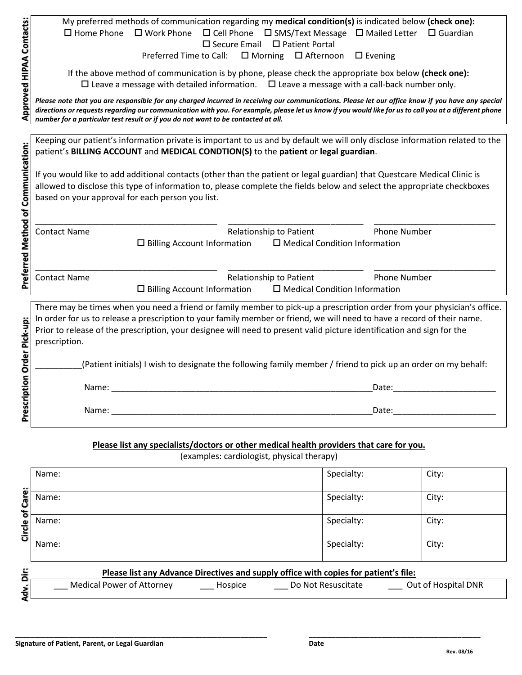|                                    | My preferred methods of communication regarding my medical condition(s) is indicated below (check one):<br>$\square$ Home Phone<br>$\square$ Work Phone<br>$\Box$ Cell Phone $\Box$ SMS/Text Message $\Box$ Mailed Letter $\Box$ Guardian                                                                   |
|------------------------------------|-------------------------------------------------------------------------------------------------------------------------------------------------------------------------------------------------------------------------------------------------------------------------------------------------------------|
|                                    | $\Box$ Secure Email $\Box$ Patient Portal                                                                                                                                                                                                                                                                   |
|                                    | Preferred Time to Call: □ Morning □ Afternoon<br>$\Box$ Evening                                                                                                                                                                                                                                             |
|                                    |                                                                                                                                                                                                                                                                                                             |
|                                    | If the above method of communication is by phone, please check the appropriate box below (check one):<br>$\Box$ Leave a message with detailed information. $\Box$ Leave a message with a call-back number only.                                                                                             |
|                                    |                                                                                                                                                                                                                                                                                                             |
| Approved HIPAA Contacts:           | Please note that you are responsible for any charged incurred in receiving our communications. Please let our office know if you have any special<br>directions or requests regarding our communication with you. For example, please let us know if you would like for us to call you at a different phone |
|                                    | number for a particular test result or if you do not want to be contacted at all.                                                                                                                                                                                                                           |
|                                    |                                                                                                                                                                                                                                                                                                             |
|                                    | Keeping our patient's information private is important to us and by default we will only disclose information related to the                                                                                                                                                                                |
|                                    | patient's BILLING ACCOUNT and MEDICAL CONDTION(S) to the patient or legal guardian.                                                                                                                                                                                                                         |
|                                    | If you would like to add additional contacts (other than the patient or legal guardian) that Questcare Medical Clinic is                                                                                                                                                                                    |
|                                    | allowed to disclose this type of information to, please complete the fields below and select the appropriate checkboxes                                                                                                                                                                                     |
|                                    | based on your approval for each person you list.                                                                                                                                                                                                                                                            |
|                                    |                                                                                                                                                                                                                                                                                                             |
| Preferred Method of Communication: |                                                                                                                                                                                                                                                                                                             |
|                                    | <b>Phone Number</b><br><b>Contact Name</b><br>Relationship to Patient                                                                                                                                                                                                                                       |
|                                    | $\Box$ Billing Account Information<br>$\Box$ Medical Condition Information                                                                                                                                                                                                                                  |
|                                    |                                                                                                                                                                                                                                                                                                             |
|                                    | Relationship to Patient<br><b>Phone Number</b><br><b>Contact Name</b>                                                                                                                                                                                                                                       |
|                                    | $\Box$ Billing Account Information<br>$\square$ Medical Condition Information                                                                                                                                                                                                                               |
|                                    | There may be times when you need a friend or family member to pick-up a prescription order from your physician's office.                                                                                                                                                                                    |
|                                    | In order for us to release a prescription to your family member or friend, we will need to have a record of their name.                                                                                                                                                                                     |
|                                    | Prior to release of the prescription, your designee will need to present valid picture identification and sign for the                                                                                                                                                                                      |
|                                    | prescription.                                                                                                                                                                                                                                                                                               |
|                                    |                                                                                                                                                                                                                                                                                                             |
|                                    | (Patient initials) I wish to designate the following family member / friend to pick up an order on my behalf:                                                                                                                                                                                               |
|                                    |                                                                                                                                                                                                                                                                                                             |
| Prescription Order Pick-up:        | Name:<br>Date:                                                                                                                                                                                                                                                                                              |
|                                    | Name:<br>Date:                                                                                                                                                                                                                                                                                              |
|                                    |                                                                                                                                                                                                                                                                                                             |
|                                    |                                                                                                                                                                                                                                                                                                             |

## **Please list any specialists/doctors or other medical health providers that care for you.**

(examples: cardiologist, physical therapy)

| ä<br>Adv. | Please list any Advance Directives and supply office with copies for patient's file:<br><b>Medical Power of Attorney</b><br>Out of Hospital DNR<br>Do Not Resuscitate<br>Hospice |            |       |  |  |
|-----------|----------------------------------------------------------------------------------------------------------------------------------------------------------------------------------|------------|-------|--|--|
|           |                                                                                                                                                                                  |            |       |  |  |
|           | Name:                                                                                                                                                                            | Specialty: | City: |  |  |
| Circle of | Name:                                                                                                                                                                            | Specialty: | City: |  |  |
| Care:     | Name:                                                                                                                                                                            | Specialty: | City: |  |  |
|           | Name:                                                                                                                                                                            | Specialty: | City: |  |  |

| ◠            |                               |         |                         |                             |
|--------------|-------------------------------|---------|-------------------------|-----------------------------|
| -            | ∵of Attornev<br>Medical Power | Hospice | suscitate<br>-Not<br>DΟ | al DNR<br>ΩT<br>. HOSDITAL: |
| $\mathbf{a}$ | ____                          |         |                         |                             |
|              |                               |         |                         |                             |

**\_\_\_\_\_\_\_\_\_\_\_\_\_\_\_\_\_\_\_\_\_\_\_\_\_\_\_\_\_\_\_\_\_\_\_\_\_\_\_\_\_\_\_\_\_\_\_\_\_\_\_\_\_\_\_\_\_\_\_\_\_\_\_\_\_\_ \_\_\_\_\_\_\_\_\_\_\_\_\_\_\_\_\_\_\_\_\_\_\_\_\_\_\_\_\_\_\_\_\_\_\_\_\_\_\_\_\_\_\_\_\_**